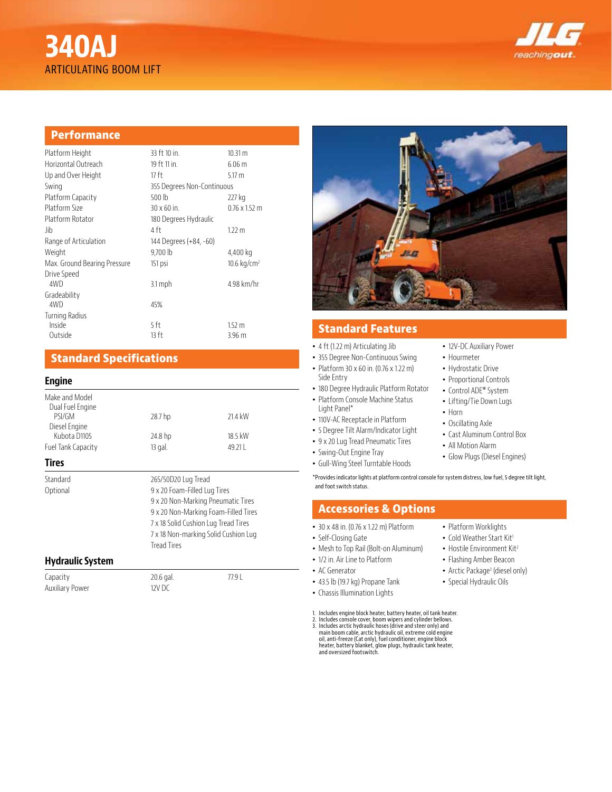# **340AJ** ARTICULATING BOOM LIFT



# **Performance**

| Platform Height              | 33 ft 10 in.               | 10.31 m                   |
|------------------------------|----------------------------|---------------------------|
| Horizontal Outreach          | 19 ft 11 in.               | 6.06 <sub>m</sub>         |
| Up and Over Height           | 17 ft                      | $5.17 \text{ m}$          |
| Swing                        | 355 Degrees Non-Continuous |                           |
| Platform Capacity            | 500 lb                     | 227 kg                    |
| Platform Size                | 30 x 60 in.                | $0.76 \times 1.52$ m      |
| Platform Rotator             | 180 Degrees Hydraulic      |                           |
| -lib                         | 4 ft                       | 1.22 m                    |
| Range of Articulation        | 144 Degrees (+84, -60)     |                           |
| Weight                       | 9,700 lb                   | 4,400 kg                  |
| Max. Ground Bearing Pressure | 151 psi                    | $10.6$ kg/cm <sup>2</sup> |
| Drive Speed                  |                            |                           |
| 4WD                          | $3.1$ mph                  | 4.98 km/hr                |
| Gradeability                 |                            |                           |
| 4WD                          | 45%                        |                           |
| <b>Turning Radius</b>        |                            |                           |
| Inside                       | 5 ft                       | $1.52 \text{ m}$          |
| Outside                      | 13 ft                      | 3.96 <sub>m</sub>         |

# **Standard Specifications**

#### **Engine**

| Make and Model<br>Dual Fuel Engine<br>PSI/GM<br>Diesel Engine | 28.7 hp             | 21.4 kW                                                                                                                                                                                                           |  |
|---------------------------------------------------------------|---------------------|-------------------------------------------------------------------------------------------------------------------------------------------------------------------------------------------------------------------|--|
| Kubota D1105                                                  | 24.8 hp             | 18.5 kW                                                                                                                                                                                                           |  |
| Fuel Tank Capacity                                            | 13 gal.             | 49.211                                                                                                                                                                                                            |  |
| <b>Tires</b>                                                  |                     |                                                                                                                                                                                                                   |  |
| Standard<br>Optional                                          | <b>Tread Tires</b>  | 265/50D20 Lug Tread<br>9 x 20 Foam-Filled Lug Tires<br>9 x 20 Non-Marking Pneumatic Tires<br>9 x 20 Non-Marking Foam-Filled Tires<br>7 x 18 Solid Cushion Lug Tread Tires<br>7 x 18 Non-marking Solid Cushion Lug |  |
| <b>Hydraulic System</b>                                       |                     |                                                                                                                                                                                                                   |  |
| Capacity<br><b>Auxiliary Power</b>                            | 20.6 gal.<br>12V DC | 77.9 L                                                                                                                                                                                                            |  |



# **Standard Features**

- 4 ft (1.22 m) Articulating Jib
- 355 Degree Non-Continuous Swing
- Platform 30 x 60 in. (0.76 x 1.22 m) Side Entry
- 180 Degree Hydraulic Platform Rotator
- Platform Console Machine Status Light Panel\*
- 110V-AC Receptacle in Platform
- 5 Degree Tilt Alarm/Indicator Light
- 9 x 20 Lug Tread Pneumatic Tires
- Swing-Out Engine Tray
- Gull-Wing Steel Turntable Hoods
- 12V-DC Auxiliary Power
- Hourmeter
- Hydrostatic Drive
- Proportional Controls
- Control ADE® System
- Lifting/Tie Down Lugs
- Horn
- Oscillating Axle
- Cast Aluminum Control Box
- All Motion Alarm
- Glow Plugs (Diesel Engines)

\*Provides indicator lights at platform control console for system distress, low fuel, 5 degree tilt light, and foot switch status.

### **Accessories & Options**

- 30 x 48 in. (0.76 x 1.22 m) Platform
- Self-Closing Gate
- Mesh to Top Rail (Bolt-on Aluminum)
- 1/2 in. Air Line to Platform
- AC Generator
- 
- Chassis Illumination Lights

1. Includes engine block heater, battery heater, oil tank heater.

2. Includes console cover, boom wipers and cylinder bellows.<br>3. Includes arctic hydraulic hoses (drive and steer only) and<br>main boom cable, arctic hydraulic oil, extreme cold engine<br>oil, anti-freeze (Cat only), fuel condit heater, battery blanket, glow plugs, hydraulic tank heater, and oversized footswitch.

- Platform Worklights
- Cold Weather Start Kit<sup>1</sup>
- Hostile Environment Kit<sup>2</sup>
- Flashing Amber Beacon
- Arctic Package<sup>3</sup> (diesel only)
- Special Hydraulic Oils
- 
- 
- 43.5 lb (19.7 kg) Propane Tank
	-